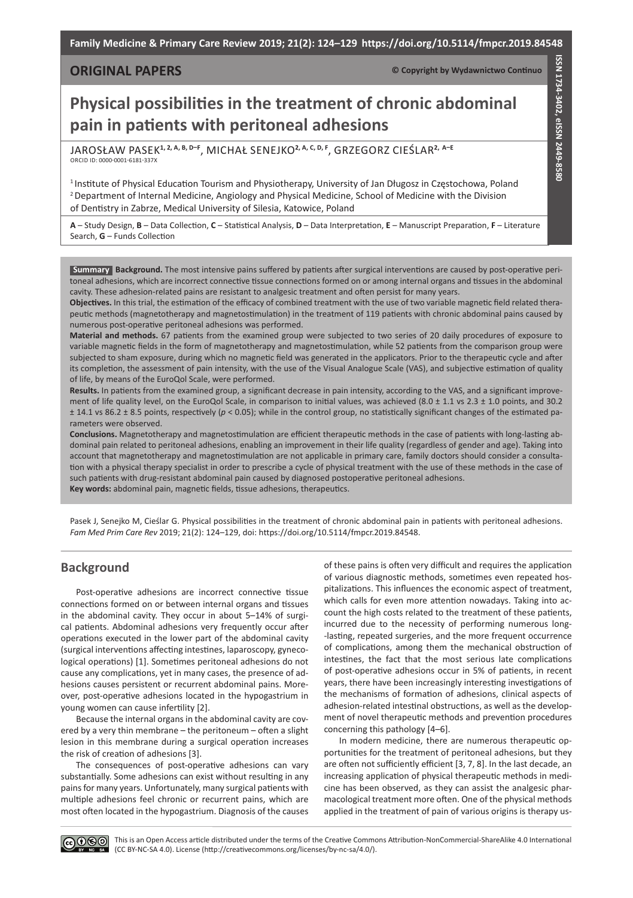**Family Medicine & Primary Care Review 2019; 21(2): 124–129 https://doi.org/10.5114/fmpcr.2019.84548**

## **ORIGINAL PAPERS**

**© Copyright by Wydawnictwo Continuo**

**ISSN 1734-3402, eISSN 2449-8580**

ISSN 1734-3402, eISSN 2449-8580

# **Physical possibilities in the treatment of chronic abdominal pain in patients with peritoneal adhesions**

Jarosław Pasek**1, 2, A, B, D–F**, Michał Senejko**2, A, C, D, F**, Grzegorz Cieślar**2, A–E** ORCID iD: 0000-0001-6181-337X

1 Institute of Physical Education Tourism and Physiotherapy, University of Jan Długosz in Częstochowa, Poland <sup>2</sup> Department of Internal Medicine, Angiology and Physical Medicine, School of Medicine with the Division of Dentistry in Zabrze, Medical University of Silesia, Katowice, Poland

**A** – Study Design, **B** – Data Collection, **C** – Statistical Analysis, **D** – Data Interpretation, **E** – Manuscript Preparation, **F** – Literature Search, **G** – Funds Collection

**Background.** The most intensive pains suffered by patients after surgical interventions are caused by post-operative peri-**Summary** toneal adhesions, which are incorrect connective tissue connections formed on or among internal organs and tissues in the abdominal cavity. These adhesion-related pains are resistant to analgesic treatment and often persist for many years.

**Objectives.** In this trial, the estimation of the efficacy of combined treatment with the use of two variable magnetic field related therapeutic methods (magnetotherapy and magnetostimulation) in the treatment of 119 patients with chronic abdominal pains caused by numerous post-operative peritoneal adhesions was performed.

**Material and methods.** 67 patients from the examined group were subjected to two series of 20 daily procedures of exposure to variable magnetic fields in the form of magnetotherapy and magnetostimulation, while 52 patients from the comparison group were subjected to sham exposure, during which no magnetic field was generated in the applicators. Prior to the therapeutic cycle and after its completion, the assessment of pain intensity, with the use of the Visual Analogue Scale (VAS), and subjective estimation of quality of life, by means of the EuroQol Scale, were performed.

**Results.** In patients from the examined group, a significant decrease in pain intensity, according to the VAS, and a significant improvement of life quality level, on the EuroQol Scale, in comparison to initial values, was achieved (8.0  $\pm$  1.1 vs 2.3  $\pm$  1.0 points, and 30.2 ± 14.1 vs 86.2 ± 8.5 points, respectively (*p* < 0.05); while in the control group, no statistically significant changes of the estimated parameters were observed.

**Conclusions.** Magnetotherapy and magnetostimulation are efficient therapeutic methods in the case of patients with long-lasting abdominal pain related to peritoneal adhesions, enabling an improvement in their life quality (regardless of gender and age). Taking into account that magnetotherapy and magnetostimulation are not applicable in primary care, family doctors should consider a consultation with a physical therapy specialist in order to prescribe a cycle of physical treatment with the use of these methods in the case of such patients with drug-resistant abdominal pain caused by diagnosed postoperative peritoneal adhesions.

**Key words:** abdominal pain, magnetic fields, tissue adhesions, therapeutics.

Pasek J, Senejko M, Cieślar G. Physical possibilities in the treatment of chronic abdominal pain in patients with peritoneal adhesions. *Fam Med Prim Care Rev* 2019; 21(2): 124–129, doi: https://doi.org/10.5114/fmpcr.2019.84548.

# **Background**

Post-operative adhesions are incorrect connective tissue connections formed on or between internal organs and tissues in the abdominal cavity. They occur in about 5–14% of surgical patients. Abdominal adhesions very frequently occur after operations executed in the lower part of the abdominal cavity (surgical interventions affecting intestines, laparoscopy, gynecological operations) [1]. Sometimes peritoneal adhesions do not cause any complications, yet in many cases, the presence of adhesions causes persistent or recurrent abdominal pains. Moreover, post-operative adhesions located in the hypogastrium in young women can cause infertility [2].

Because the internal organs in the abdominal cavity are covered by a very thin membrane – the peritoneum – often a slight lesion in this membrane during a surgical operation increases the risk of creation of adhesions [3].

The consequences of post-operative adhesions can vary substantially. Some adhesions can exist without resulting in any pains for many years. Unfortunately, many surgical patients with multiple adhesions feel chronic or recurrent pains, which are most often located in the hypogastrium. Diagnosis of the causes

of these pains is often very difficult and requires the application of various diagnostic methods, sometimes even repeated hospitalizations. This influences the economic aspect of treatment, which calls for even more attention nowadays. Taking into account the high costs related to the treatment of these patients, incurred due to the necessity of performing numerous long- -lasting, repeated surgeries, and the more frequent occurrence of complications, among them the mechanical obstruction of intestines, the fact that the most serious late complications of post-operative adhesions occur in 5% of patients, in recent years, there have been increasingly interesting investigations of the mechanisms of formation of adhesions, clinical aspects of adhesion-related intestinal obstructions, as well as the development of novel therapeutic methods and prevention procedures concerning this pathology [4–6].

In modern medicine, there are numerous therapeutic opportunities for the treatment of peritoneal adhesions, but they are often not sufficiently efficient [3, 7, 8]. In the last decade, an increasing application of physical therapeutic methods in medicine has been observed, as they can assist the analgesic pharmacological treatment more often. One of the physical methods applied in the treatment of pain of various origins is therapy us-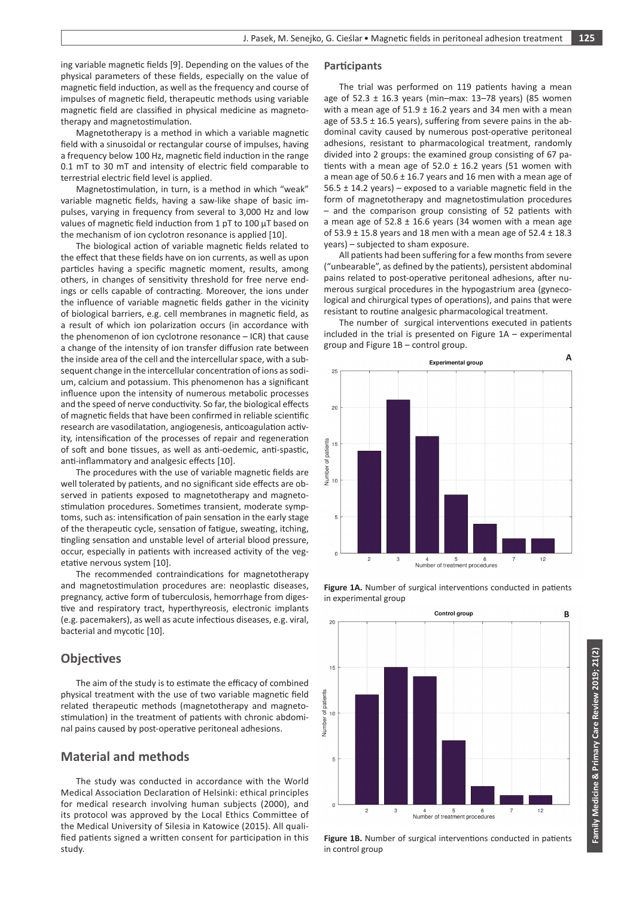ing variable magnetic fields [9]. Depending on the values of the physical parameters of these fields, especially on the value of magnetic field induction, as well as the frequency and course of impulses of magnetic field, therapeutic methods using variable magnetic field are classified in physical medicine as magnetotherapy and magnetostimulation.

Magnetotherapy is a method in which a variable magnetic field with a sinusoidal or rectangular course of impulses, having a frequency below 100 Hz, magnetic field induction in the range 0.1 mT to 30 mT and intensity of electric field comparable to terrestrial electric field level is applied.

Magnetostimulation, in turn, is a method in which "weak" variable magnetic fields, having a saw-like shape of basic impulses, varying in frequency from several to 3,000 Hz and low values of magnetic field induction from 1 pT to 100 μT based on the mechanism of ion cyclotron resonance is applied [10].

The biological action of variable magnetic fields related to the effect that these fields have on ion currents, as well as upon particles having a specific magnetic moment, results, among others, in changes of sensitivity threshold for free nerve endings or cells capable of contracting. Moreover, the ions under the influence of variable magnetic fields gather in the vicinity of biological barriers, e.g. cell membranes in magnetic field, as a result of which ion polarization occurs (in accordance with the phenomenon of ion cyclotrone resonance – ICR) that cause a change of the intensity of ion transfer diffusion rate between the inside area of the cell and the intercellular space, with a subsequent change in the intercellular concentration of ions as sodium, calcium and potassium. This phenomenon has a significant influence upon the intensity of numerous metabolic processes and the speed of nerve conductivity. So far, the biological effects of magnetic fields that have been confirmed in reliable scientific research are vasodilatation, angiogenesis, anticoagulation activity, intensification of the processes of repair and regeneration of soft and bone tissues, as well as anti-oedemic, anti-spastic, anti-inflammatory and analgesic effects [10].

The procedures with the use of variable magnetic fields are well tolerated by patients, and no significant side effects are observed in patients exposed to magnetotherapy and magnetostimulation procedures. Sometimes transient, moderate symptoms, such as: intensification of pain sensation in the early stage of the therapeutic cycle, sensation of fatigue, sweating, itching, tingling sensation and unstable level of arterial blood pressure, occur, especially in patients with increased activity of the vegetative nervous system [10].

The recommended contraindications for magnetotherapy and magnetostimulation procedures are: neoplastic diseases, pregnancy, active form of tuberculosis, hemorrhage from digestive and respiratory tract, hyperthyreosis, electronic implants (e.g. pacemakers), as well as acute infectious diseases, e.g. viral, bacterial and mycotic [10].

## **Objectives**

The aim of the study is to estimate the efficacy of combined physical treatment with the use of two variable magnetic field related therapeutic methods (magnetotherapy and magnetostimulation) in the treatment of patients with chronic abdominal pains caused by post-operative peritoneal adhesions.

## **Material and methods**

The study was conducted in accordance with the World Medical Association Declaration of Helsinki: ethical principles for medical research involving human subjects (2000), and its protocol was approved by the Local Ethics Committee of the Medical University of Silesia in Katowice (2015). All qualified patients signed a written consent for participation in this study.

#### **Participants**

The trial was performed on 119 patients having a mean age of 52.3 ± 16.3 years (min–max: 13–78 years) (85 women with a mean age of  $51.9 \pm 16.2$  years and 34 men with a mean age of 53.5 ± 16.5 years), suffering from severe pains in the abdominal cavity caused by numerous post-operative peritoneal adhesions, resistant to pharmacological treatment, randomly divided into 2 groups: the examined group consisting of 67 patients with a mean age of  $52.0 \pm 16.2$  years (51 women with a mean age of  $50.6 \pm 16.7$  years and 16 men with a mean age of  $56.5 \pm 14.2$  years) – exposed to a variable magnetic field in the form of magnetotherapy and magnetostimulation procedures – and the comparison group consisting of 52 patients with a mean age of  $52.8 \pm 16.6$  years (34 women with a mean age of 53.9  $\pm$  15.8 years and 18 men with a mean age of 52.4  $\pm$  18.3 years) – subjected to sham exposure.

All patients had been suffering for a few months from severe ("unbearable", as defined by the patients), persistent abdominal pains related to post-operative peritoneal adhesions, after numerous surgical procedures in the hypogastrium area (gynecological and chirurgical types of operations), and pains that were resistant to routine analgesic pharmacological treatment.

The number of surgical interventions executed in patients included in the trial is presented on Figure 1A – experimental group and Figure 1B – control group.



**Figure 1A.** Number of surgical interventions conducted in patients



**Figure 1B.** Number of surgical interventions conducted in patients in control group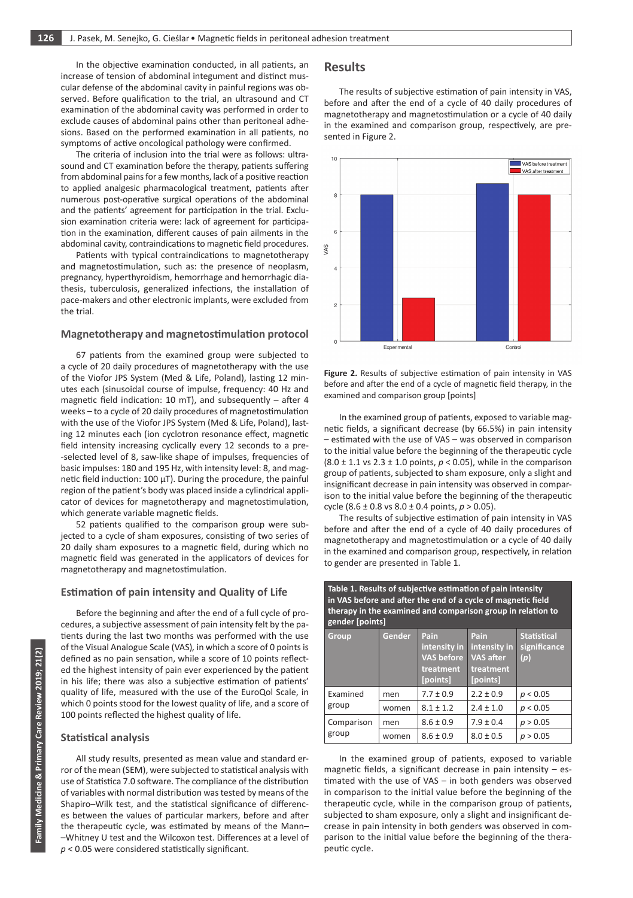In the objective examination conducted, in all patients, an increase of tension of abdominal integument and distinct muscular defense of the abdominal cavity in painful regions was observed. Before qualification to the trial, an ultrasound and CT examination of the abdominal cavity was performed in order to exclude causes of abdominal pains other than peritoneal adhesions. Based on the performed examination in all patients, no symptoms of active oncological pathology were confirmed.

The criteria of inclusion into the trial were as follows: ultrasound and CT examination before the therapy, patients suffering from abdominal pains for a few months, lack of a positive reaction to applied analgesic pharmacological treatment, patients after numerous post-operative surgical operations of the abdominal and the patients' agreement for participation in the trial. Exclusion examination criteria were: lack of agreement for participation in the examination, different causes of pain ailments in the abdominal cavity, contraindications to magnetic field procedures.

Patients with typical contraindications to magnetotherapy and magnetostimulation, such as: the presence of neoplasm, pregnancy, hyperthyroidism, hemorrhage and hemorrhagic diathesis, tuberculosis, generalized infections, the installation of pace-makers and other electronic implants, were excluded from the trial.

#### **Magnetotherapy and magnetostimulation protocol**

67 patients from the examined group were subjected to a cycle of 20 daily procedures of magnetotherapy with the use of the Viofor JPS System (Med & Life, Poland), lasting 12 minutes each (sinusoidal course of impulse, frequency: 40 Hz and magnetic field indication: 10 mT), and subsequently  $-$  after 4 weeks – to a cycle of 20 daily procedures of magnetostimulation with the use of the Viofor JPS System (Med & Life, Poland), lasting 12 minutes each (ion cyclotron resonance effect, magnetic field intensity increasing cyclically every 12 seconds to a pre- -selected level of 8, saw-like shape of impulses, frequencies of basic impulses: 180 and 195 Hz, with intensity level: 8, and magnetic field induction:  $100 \mu T$ ). During the procedure, the painful region of the patient's body was placed inside a cylindrical applicator of devices for magnetotherapy and magnetostimulation, which generate variable magnetic fields.

52 patients qualified to the comparison group were subjected to a cycle of sham exposures, consisting of two series of 20 daily sham exposures to a magnetic field, during which no magnetic field was generated in the applicators of devices for magnetotherapy and magnetostimulation.

#### **Estimation of pain intensity and Quality of Life**

Before the beginning and after the end of a full cycle of procedures, a subjective assessment of pain intensity felt by the patients during the last two months was performed with the use of the Visual Analogue Scale (VAS)*,* in which a score of 0 points is defined as no pain sensation, while a score of 10 points reflected the highest intensity of pain ever experienced by the patient in his life; there was also a subjective estimation of patients' quality of life, measured with the use of the EuroQol Scale, in which 0 points stood for the lowest quality of life, and a score of 100 points reflected the highest quality of life.

## **Statistical analysis**

All study results, presented as mean value and standard error of the mean (SEM), were subjected to statistical analysis with use of Statistica 7.0 software. The compliance of the distribution of variables with normal distribution was tested by means of the Shapiro–Wilk test, and the statistical significance of differences between the values of particular markers, before and after the therapeutic cycle, was estimated by means of the Mann– –Whitney U test and the Wilcoxon test. Differences at a level of *p* < 0.05 were considered statistically significant.

## **Results**

The results of subjective estimation of pain intensity in VAS, before and after the end of a cycle of 40 daily procedures of magnetotherapy and magnetostimulation or a cycle of 40 daily in the examined and comparison group, respectively, are presented in Figure 2.



Figure 2. Results of subjective estimation of pain intensity in VAS before and after the end of a cycle of magnetic field therapy, in the examined and comparison group [points]

In the examined group of patients, exposed to variable magnetic fields, a significant decrease (by 66.5%) in pain intensity – estimated with the use of VAS – was observed in comparison to the initial value before the beginning of the therapeutic cycle (8.0 ± 1.1 vs 2.3 ± 1.0 points, *p* < 0.05), while in the comparison group of patients, subjected to sham exposure, only a slight and insignificant decrease in pain intensity was observed in comparison to the initial value before the beginning of the therapeutic cycle (8.6 ± 0.8 vs 8.0 ± 0.4 points, *p* > 0.05).

The results of subjective estimation of pain intensity in VAS before and after the end of a cycle of 40 daily procedures of magnetotherapy and magnetostimulation or a cycle of 40 daily in the examined and comparison group, respectively, in relation to gender are presented in Table 1.

**Table 1. Results of subjective estimation of pain intensity in VAS before and after the end of a cycle of magnetic field** 

| therapy in the examined and comparison group in relation to<br>gender [points] |        |                                                                    |                                                                   |                                           |  |
|--------------------------------------------------------------------------------|--------|--------------------------------------------------------------------|-------------------------------------------------------------------|-------------------------------------------|--|
| <b>Group</b>                                                                   | Gender | Pain<br>intensity in<br><b>VAS before</b><br>treatment<br>[points] | Pain<br>intensity in<br><b>VAS after</b><br>treatment<br>[points] | <b>Statistical</b><br>significance<br>(p) |  |
| Examined<br>group                                                              | men    | $7.7 \pm 0.9$                                                      | $2.2 \pm 0.9$                                                     | p < 0.05                                  |  |
|                                                                                | women  | $8.1 \pm 1.2$                                                      | $2.4 \pm 1.0$                                                     | p < 0.05                                  |  |
| Comparison<br>group                                                            | men    | $8.6 \pm 0.9$                                                      | $7.9 \pm 0.4$                                                     | p > 0.05                                  |  |
|                                                                                | women  | $8.6 \pm 0.9$                                                      | $8.0 \pm 0.5$                                                     | p > 0.05                                  |  |

In the examined group of patients, exposed to variable magnetic fields, a significant decrease in pain intensity – estimated with the use of VAS – in both genders was observed in comparison to the initial value before the beginning of the therapeutic cycle, while in the comparison group of patients, subjected to sham exposure, only a slight and insignificant decrease in pain intensity in both genders was observed in comparison to the initial value before the beginning of the therapeutic cycle.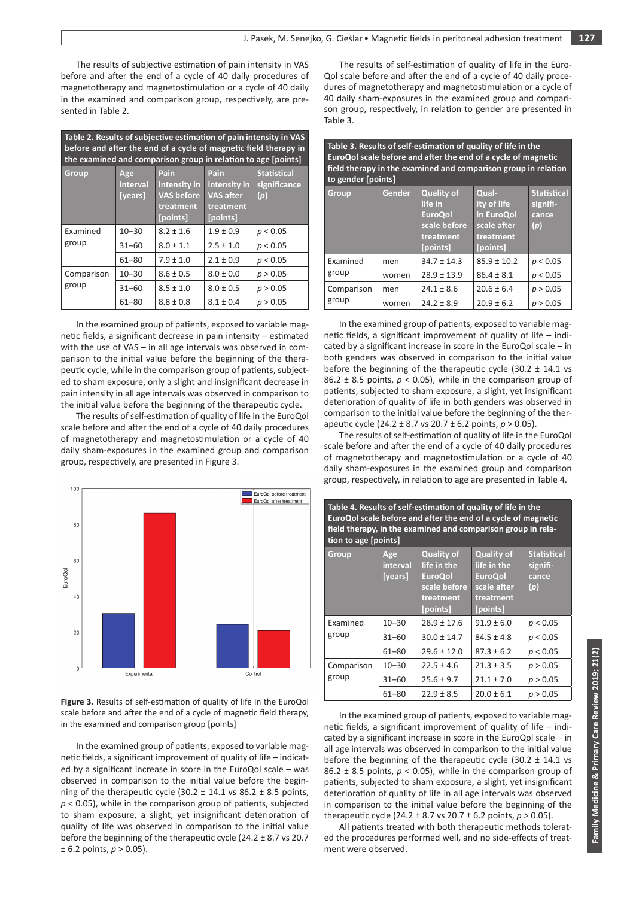The results of subjective estimation of pain intensity in VAS before and after the end of a cycle of 40 daily procedures of magnetotherapy and magnetostimulation or a cycle of 40 daily in the examined and comparison group, respectively, are presented in Table 2.

| Table 2. Results of subjective estimation of pain intensity in VAS<br>before and after the end of a cycle of magnetic field therapy in<br>the examined and comparison group in relation to age [points] |                            |                                                                    |                                                                   |                                           |  |
|---------------------------------------------------------------------------------------------------------------------------------------------------------------------------------------------------------|----------------------------|--------------------------------------------------------------------|-------------------------------------------------------------------|-------------------------------------------|--|
| Group                                                                                                                                                                                                   | Age<br>interval<br>[years] | Pain<br>intensity in<br><b>VAS before</b><br>treatment<br>[points] | Pain<br>intensity in<br><b>VAS after</b><br>treatment<br>[points] | <b>Statistical</b><br>significance<br>(p) |  |
| Examined<br>group                                                                                                                                                                                       | $10 - 30$                  | $8.2 \pm 1.6$                                                      | $1.9 \pm 0.9$                                                     | p < 0.05                                  |  |
|                                                                                                                                                                                                         | $31 - 60$                  | $8.0 \pm 1.1$                                                      | $2.5 \pm 1.0$                                                     | p < 0.05                                  |  |
|                                                                                                                                                                                                         | $61 - 80$                  | $7.9 \pm 1.0$                                                      | $2.1 \pm 0.9$                                                     | p < 0.05                                  |  |
| Comparison<br>group                                                                                                                                                                                     | $10 - 30$                  | $8.6 \pm 0.5$                                                      | $8.0 \pm 0.0$                                                     | p > 0.05                                  |  |
|                                                                                                                                                                                                         | $31 - 60$                  | $8.5 \pm 1.0$                                                      | $8.0 \pm 0.5$                                                     | p > 0.05                                  |  |
|                                                                                                                                                                                                         | 61-80                      | $8.8 \pm 0.8$                                                      | $8.1 \pm 0.4$                                                     | p > 0.05                                  |  |

In the examined group of patients, exposed to variable magnetic fields, a significant decrease in pain intensity – estimated with the use of VAS – in all age intervals was observed in comparison to the initial value before the beginning of the therapeutic cycle, while in the comparison group of patients, subjected to sham exposure, only a slight and insignificant decrease in pain intensity in all age intervals was observed in comparison to the initial value before the beginning of the therapeutic cycle.

The results of self-estimation of quality of life in the EuroQol scale before and after the end of a cycle of 40 daily procedures of magnetotherapy and magnetostimulation or a cycle of 40 daily sham-exposures in the examined group and comparison group, respectively, are presented in Figure 3.



**Figure 3.** Results of self-estimation of quality of life in the EuroQol scale before and after the end of a cycle of magnetic field therapy, in the examined and comparison group [points]

In the examined group of patients, exposed to variable magnetic fields, a significant improvement of quality of life – indicated by a significant increase in score in the EuroQol scale – was observed in comparison to the initial value before the beginning of the therapeutic cycle  $(30.2 \pm 14.1 \text{ vs } 86.2 \pm 8.5 \text{ points})$ *p* < 0.05), while in the comparison group of patients, subjected to sham exposure, a slight, yet insignificant deterioration of quality of life was observed in comparison to the initial value before the beginning of the therapeutic cycle (24.2 ± 8.7 vs 20.7  $± 6.2$  points,  $p > 0.05$ ).

The results of self-estimation of quality of life in the Euro-Qol scale before and after the end of a cycle of 40 daily procedures of magnetotherapy and magnetostimulation or a cycle of 40 daily sham-exposures in the examined group and comparison group, respectively, in relation to gender are presented in Table 3.

**Table 3. Results of self-estimation of quality of life in the EuroQol scale before and after the end of a cycle of magnetic field therapy in the examined and comparison group in relation to gender [points]**

| Group               | Gender | <b>Quality of</b><br>life in<br><b>EuroQol</b><br>scale before<br>treatment<br>[points] | Qual-<br>ity of life<br>in EuroQol<br>scale after<br>treatment<br>[points] | <b>Statistical</b><br>signifi-<br>cance<br>(p) |
|---------------------|--------|-----------------------------------------------------------------------------------------|----------------------------------------------------------------------------|------------------------------------------------|
| Examined<br>group   | men    | $34.7 \pm 14.3$                                                                         | $85.9 \pm 10.2$                                                            | p < 0.05                                       |
|                     | women  | $28.9 \pm 13.9$                                                                         | $86.4 \pm 8.1$                                                             | p < 0.05                                       |
| Comparison<br>group | men    | $24.1 \pm 8.6$                                                                          | $20.6 \pm 6.4$                                                             | p > 0.05                                       |
|                     | women  | $24.2 \pm 8.9$                                                                          | $20.9 \pm 6.2$                                                             | p > 0.05                                       |

In the examined group of patients, exposed to variable magnetic fields, a significant improvement of quality of life – indicated by a significant increase in score in the EuroQol scale – in both genders was observed in comparison to the initial value before the beginning of the therapeutic cycle (30.2  $\pm$  14.1 vs 86.2  $\pm$  8.5 points,  $p < 0.05$ ), while in the comparison group of patients, subjected to sham exposure, a slight, yet insignificant deterioration of quality of life in both genders was observed in comparison to the initial value before the beginning of the therapeutic cycle (24.2 ± 8.7 vs 20.7 ± 6.2 points, *p* > 0.05).

The results of self-estimation of quality of life in the EuroQol scale before and after the end of a cycle of 40 daily procedures of magnetotherapy and magnetostimulation or a cycle of 40 daily sham-exposures in the examined group and comparison group, respectively, in relation to age are presented in Table 4.

| Table 4. Results of self-estimation of quality of life in the<br>EuroQol scale before and after the end of a cycle of magnetic<br>field therapy, in the examined and comparison group in rela-<br>tion to age [points] |                            |                                                                                             |                                                                                            |                                                |  |
|------------------------------------------------------------------------------------------------------------------------------------------------------------------------------------------------------------------------|----------------------------|---------------------------------------------------------------------------------------------|--------------------------------------------------------------------------------------------|------------------------------------------------|--|
| Group                                                                                                                                                                                                                  | Age<br>interval<br>[years] | <b>Quality of</b><br>life in the<br><b>EuroQol</b><br>scale before<br>treatment<br>[points] | <b>Quality of</b><br>life in the<br><b>EuroQol</b><br>scale after<br>treatment<br>[points] | <b>Statistical</b><br>signifi-<br>cance<br>(p) |  |
| Examined<br>group                                                                                                                                                                                                      | $10 - 30$                  | $28.9 \pm 17.6$                                                                             | $91.9 \pm 6.0$                                                                             | p < 0.05                                       |  |
|                                                                                                                                                                                                                        | $31 - 60$                  | $30.0 \pm 14.7$                                                                             | $84.5 \pm 4.8$                                                                             | p < 0.05                                       |  |
|                                                                                                                                                                                                                        | $61 - 80$                  | $29.6 \pm 12.0$                                                                             | $87.3 \pm 6.2$                                                                             | p < 0.05                                       |  |
| Comparison<br>group                                                                                                                                                                                                    | $10 - 30$                  | $22.5 \pm 4.6$                                                                              | $21.3 \pm 3.5$                                                                             | p > 0.05                                       |  |
|                                                                                                                                                                                                                        | $31 - 60$                  | $25.6 \pm 9.7$                                                                              | $21.1 \pm 7.0$                                                                             | p > 0.05                                       |  |
|                                                                                                                                                                                                                        | $61 - 80$                  | $22.9 \pm 8.5$                                                                              | $20.0 \pm 6.1$                                                                             | p > 0.05                                       |  |

In the examined group of patients, exposed to variable magnetic fields, a significant improvement of quality of life – indicated by a significant increase in score in the EuroQol scale – in all age intervals was observed in comparison to the initial value before the beginning of the therapeutic cycle  $(30.2 \pm 14.1 \text{ vs } 10.2 \pm 14.1 \text{ vs } 10.2 \pm 14.1 \text{ vs } 10.2 \pm 14.1 \text{ vs } 10.2 \pm 14.1 \text{ vs } 10.2 \pm 14.1 \text{ vs } 10.2 \pm 14.1 \text{ vs } 10.2 \pm 14.1 \text{ vs } 10.2 \pm 14.1 \text{ vs } 10.2 \pm 14.1 \text{ vs } 10.$ 86.2  $\pm$  8.5 points,  $p < 0.05$ ), while in the comparison group of patients, subjected to sham exposure, a slight, yet insignificant deterioration of quality of life in all age intervals was observed in comparison to the initial value before the beginning of the therapeutic cycle (24.2 ± 8.7 vs 20.7 ± 6.2 points, *p* > 0.05).

All patients treated with both therapeutic methods tolerated the procedures performed well, and no side-effects of treatment were observed.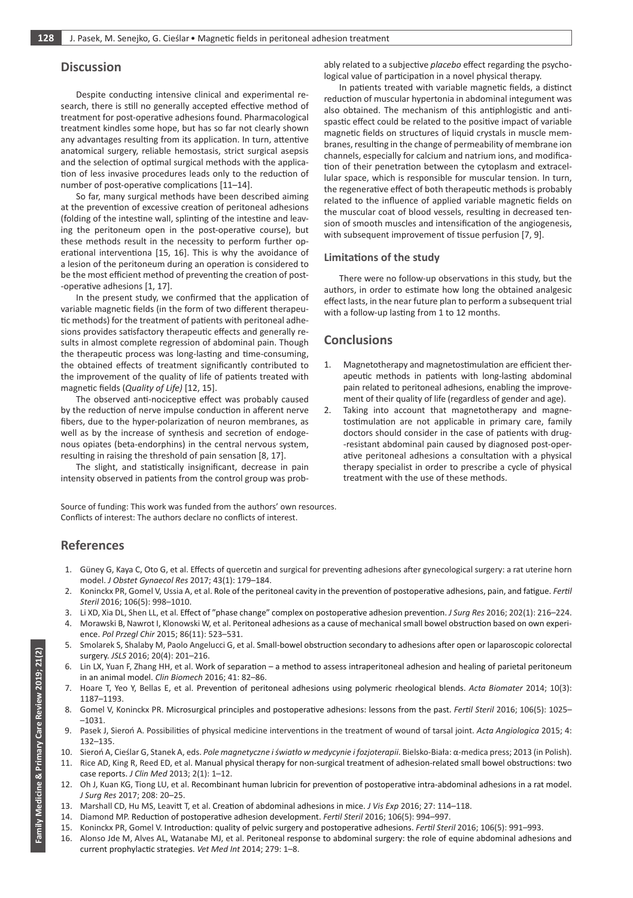## **Discussion**

Despite conducting intensive clinical and experimental research, there is still no generally accepted effective method of treatment for post-operative adhesions found. Pharmacological treatment kindles some hope, but has so far not clearly shown any advantages resulting from its application. In turn, attentive anatomical surgery, reliable hemostasis, strict surgical asepsis and the selection of optimal surgical methods with the application of less invasive procedures leads only to the reduction of number of post-operative complications [11–14].

So far, many surgical methods have been described aiming at the prevention of excessive creation of peritoneal adhesions (folding of the intestine wall, splinting of the intestine and leaving the peritoneum open in the post-operative course), but these methods result in the necessity to perform further operational interventiona [15, 16]. This is why the avoidance of a lesion of the peritoneum during an operation is considered to be the most efficient method of preventing the creation of post- -operative adhesions [1, 17].

In the present study, we confirmed that the application of variable magnetic fields (in the form of two different therapeutic methods) for the treatment of patients with peritoneal adhesions provides satisfactory therapeutic effects and generally results in almost complete regression of abdominal pain. Though the therapeutic process was long-lasting and time-consuming, the obtained effects of treatment significantly contributed to the improvement of the quality of life of patients treated with magnetic fields (*Quality of Life)* [12, 15].

The observed anti-nociceptive effect was probably caused by the reduction of nerve impulse conduction in afferent nerve fibers, due to the hyper-polarization of neuron membranes, as well as by the increase of synthesis and secretion of endogenous opiates (beta-endorphins) in the central nervous system, resulting in raising the threshold of pain sensation [8, 17].

The slight, and statistically insignificant, decrease in pain intensity observed in patients from the control group was probably related to a subjective *placebo* effect regarding the psychological value of participation in a novel physical therapy.

In patients treated with variable magnetic fields, a distinct reduction of muscular hypertonia in abdominal integument was also obtained. The mechanism of this antiphlogistic and antispastic effect could be related to the positive impact of variable magnetic fields on structures of liquid crystals in muscle membranes, resulting in the change of permeability of membrane ion channels, especially for calcium and natrium ions, and modification of their penetration between the cytoplasm and extracellular space, which is responsible for muscular tension. In turn, the regenerative effect of both therapeutic methods is probably related to the influence of applied variable magnetic fields on the muscular coat of blood vessels, resulting in decreased tension of smooth muscles and intensification of the angiogenesis, with subsequent improvement of tissue perfusion [7, 9].

#### **Limitations of the study**

There were no follow-up observations in this study, but the authors, in order to estimate how long the obtained analgesic effect lasts, in the near future plan to perform a subsequent trial with a follow-up lasting from 1 to 12 months.

## **Conclusions**

- 1. Magnetotherapy and magnetostimulation are efficient therapeutic methods in patients with long-lasting abdominal pain related to peritoneal adhesions, enabling the improvement of their quality of life (regardless of gender and age).
- 2. Taking into account that magnetotherapy and magnetostimulation are not applicable in primary care, family doctors should consider in the case of patients with drug- -resistant abdominal pain caused by diagnosed post-operative peritoneal adhesions a consultation with a physical therapy specialist in order to prescribe a cycle of physical treatment with the use of these methods.

Source of funding: This work was funded from the authors' own resources. Conflicts of interest: The authors declare no conflicts of interest.

# **References**

- 1. Güney G, Kaya C, Oto G, et al. Effects of quercetin and surgical for preventing adhesions after gynecological surgery: a rat uterine horn model. *J Obstet Gynaecol Res* 2017; 43(1): 179–184.
- 2. Koninckx PR, Gomel V, Ussia A, et al. Role of the peritoneal cavity in the prevention of postoperative adhesions, pain, and fatigue. *Fertil Steril* 2016; 106(5): 998–1010.
- 3. Li XD, Xia DL, Shen LL, et al. Effect of "phase change" complex on postoperative adhesion prevention. *J Surg Res* 2016; 202(1): 216–224.
- 4. Morawski B, Nawrot I, Klonowski W, et al. Peritoneal adhesions as a cause of mechanical small bowel obstruction based on own experience. *Pol Przegl Chir* 2015; 86(11): 523–531.
- 5. Smolarek S, Shalaby M, Paolo Angelucci G, et al. Small-bowel obstruction secondary to adhesions after open or laparoscopic colorectal surgery. *JSLS* 2016; 20(4): 201–216.
- 6. Lin LX, Yuan F, Zhang HH, et al. Work of separation a method to assess intraperitoneal adhesion and healing of parietal peritoneum in an animal model. *Clin Biomech* 2016; 41: 82–86.
- 7. Hoare T, Yeo Y, Bellas E, et al. Prevention of peritoneal adhesions using polymeric rheological blends. *Acta Biomater* 2014; 10(3): 1187–1193.
- 8. Gomel V, Koninckx PR. Microsurgical principles and postoperative adhesions: lessons from the past. *Fertil Steril* 2016; 106(5): 1025– –1031.
- 9. Pasek J, Sieroń A. Possibilities of physical medicine interventions in the treatment of wound of tarsal joint. *Acta Angiologica* 2015; 4: 132–135.
- 10. Sieroń A, Cieślar G, Stanek A, eds. *Pole magnetyczne iświatło w medycynie i fozjoterapii*. Bielsko-Biała: α-medica press; 2013 (in Polish).
- 11. Rice AD, King R, Reed ED, et al. Manual physical therapy for non-surgical treatment of adhesion-related small bowel obstructions: two case reports. *J Clin Med* 2013; 2(1): 1–12.
- 12. Oh J, Kuan KG, Tiong LU, et al. Recombinant human lubricin for prevention of postoperative intra-abdominal adhesions in a rat model. *J Surg Res* 2017; 208: 20–25.
- 13. Marshall CD, Hu MS, Leavitt T, et al. Creation of abdominal adhesions in mice. *J Vis Exp* 2016; 27: 114–118.
- 14. Diamond MP. Reduction of postoperative adhesion development. *Fertil Steril* 2016; 106(5): 994–997.
- 15. Koninckx PR, Gomel V. Introduction: quality of pelvic surgery and postoperative adhesions. *Fertil Steril* 2016; 106(5): 991–993.
- 16. Alonso Jde M, Alves AL, Watanabe MJ, et al. Peritoneal response to abdominal surgery: the role of equine abdominal adhesions and current prophylactic strategies. *Vet Med Int* 2014; 279: 1–8.